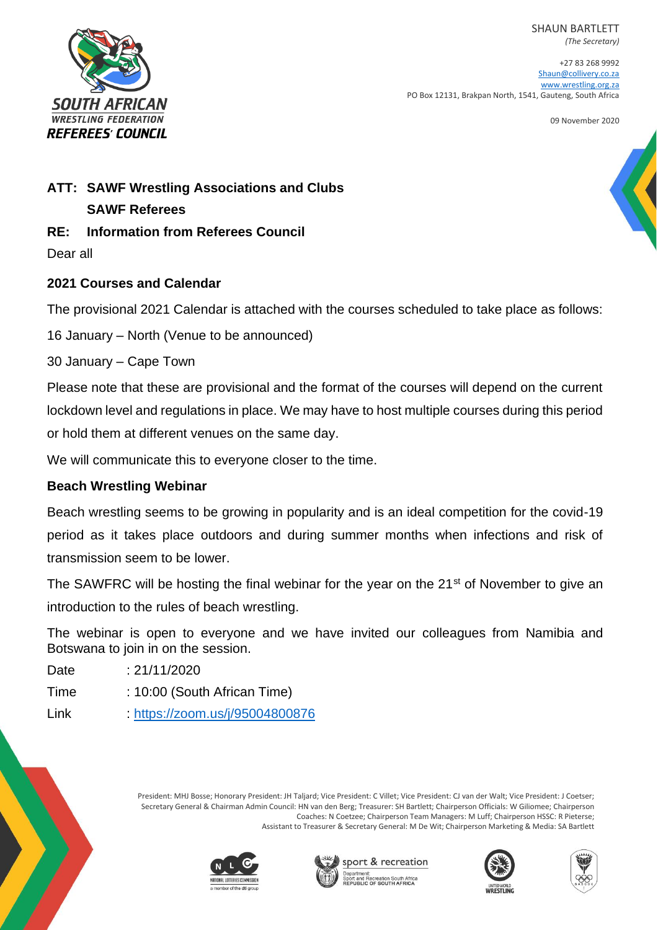SHAUN BARTLETT *(The Secretary)*



+27 83 268 9992 [Shaun@collivery.co.za](mailto:Shaun@collivery.co.za) [www.wrestling.org.za](http://www.wrestling.org.za/) PO Box 12131, Brakpan North, 1541, Gauteng, South Africa

09 November 2020

# **ATT: SAWF Wrestling Associations and Clubs SAWF Referees**

# **RE: Information from Referees Council**

Dear all

### **2021 Courses and Calendar**

The provisional 2021 Calendar is attached with the courses scheduled to take place as follows:

16 January – North (Venue to be announced)

30 January – Cape Town

Please note that these are provisional and the format of the courses will depend on the current lockdown level and regulations in place. We may have to host multiple courses during this period or hold them at different venues on the same day.

We will communicate this to everyone closer to the time.

# **Beach Wrestling Webinar**

Beach wrestling seems to be growing in popularity and is an ideal competition for the covid-19 period as it takes place outdoors and during summer months when infections and risk of transmission seem to be lower.

The SAWFRC will be hosting the final webinar for the year on the 21<sup>st</sup> of November to give an introduction to the rules of beach wrestling.

The webinar is open to everyone and we have invited our colleagues from Namibia and Botswana to join in on the session.

| Date | : 21/11/2020 |
|------|--------------|
|      |              |

Time : 10:00 (South African Time)

Link :<https://zoom.us/j/95004800876>

President: MHJ Bosse; Honorary President: JH Taljard; Vice President: C Villet; Vice President: CJ van der Walt; Vice President: J Coetser; Secretary General & Chairman Admin Council: HN van den Berg; Treasurer: SH Bartlett; Chairperson Officials: W Giliomee; Chairperson Coaches: N Coetzee; Chairperson Team Managers: M Luff; Chairperson HSSC: R Pieterse; Assistant to Treasurer & Secretary General: M De Wit; Chairperson Marketing & Media: SA Bartlett